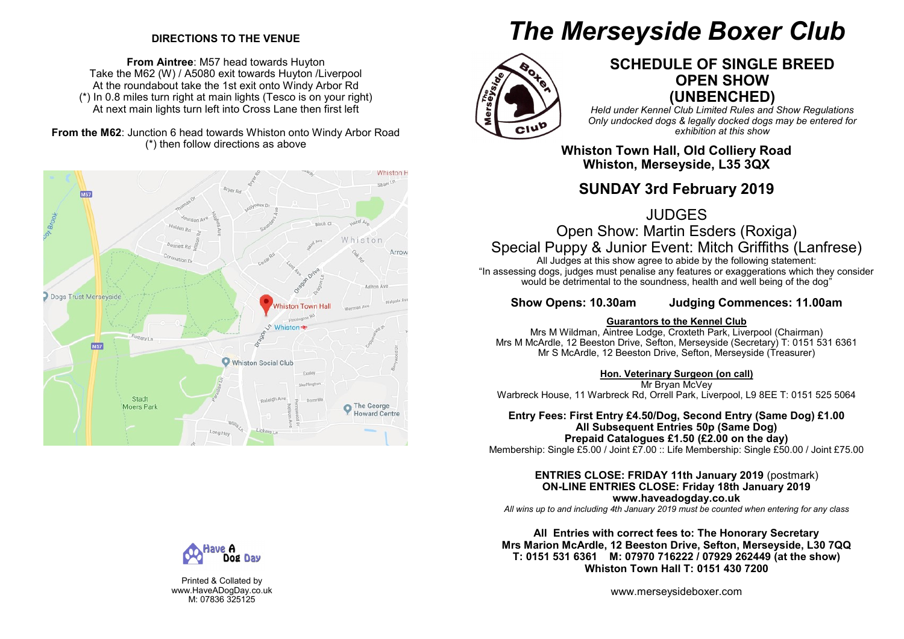### **DIRECTIONS TO THE VENUE**

**From Aintree**: M57 head towards Huyton Take the M62 (W) / A5080 exit towards Huyton /Liverpool At the roundabout take the 1st exit onto Windy Arbor Rd (\*) In 0.8 miles turn right at main lights (Tesco is on your right) At next main lights turn left into Cross Lane then first left

### **From the M62**: Junction 6 head towards Whiston onto Windy Arbor Road (\*) then follow directions as above



# *The Merseyside Boxer Club*



### **SCHEDULE OF SINGLE BREED OPEN SHOW (UNBENCHED)**

*Held under Kennel Club Limited Rules and Show Regulations Only undocked dogs & legally docked dogs may be entered for exhibition at this show*

**Whiston Town Hall, Old Colliery Road Whiston, Merseyside, L35 3QX**

### **SUNDAY 3rd February 2019**

JUDGES

Open Show: Martin Esders (Roxiga) Special Puppy & Junior Event: Mitch Griffiths (Lanfrese)

All Judges at this show agree to abide by the following statement: "In assessing dogs, judges must penalise any features or exaggerations which they consider would be detrimental to the soundness, health and well being of the dog<sup>"</sup>

**Show Opens: 10.30am Judging Commences: 11.00am**

### **Guarantors to the Kennel Club**

Mrs M Wildman, Aintree Lodge, Croxteth Park, Liverpool (Chairman) Mrs M McArdle, 12 Beeston Drive, Sefton, Merseyside (Secretary) T: 0151 531 6361 Mr S McArdle, 12 Beeston Drive, Sefton, Merseyside (Treasurer)

### **Hon. Veterinary Surgeon (on call)**

Mr Bryan McVey Warbreck House, 11 Warbreck Rd, Orrell Park, Liverpool, L9 8EE T: 0151 525 5064

### **Entry Fees: First Entry £4.50/Dog, Second Entry (Same Dog) £1.00 All Subsequent Entries 50p (Same Dog) Prepaid Catalogues £1.50 (£2.00 on the day)**

Membership: Single £5.00 / Joint £7.00 :: Life Membership: Single £50.00 / Joint £75.00

**ENTRIES CLOSE: FRIDAY 11th January 2019** (postmark) **ON-LINE ENTRIES CLOSE: Friday 18th January 2019 www.haveadogday.co.uk**

*All wins up to and including 4th January 2019 must be counted when entering for any class*

**All Entries with correct fees to: The Honorary Secretary Mrs Marion McArdle, 12 Beeston Drive, Sefton, Merseyside, L30 7QQ T: 0151 531 6361 M: 07970 716222 / 07929 262449 (at the show) Whiston Town Hall T: 0151 430 7200**

www.merseysideboxer.com



Printed & Collated by www.HaveADogDay.co.uk M: 07836 325125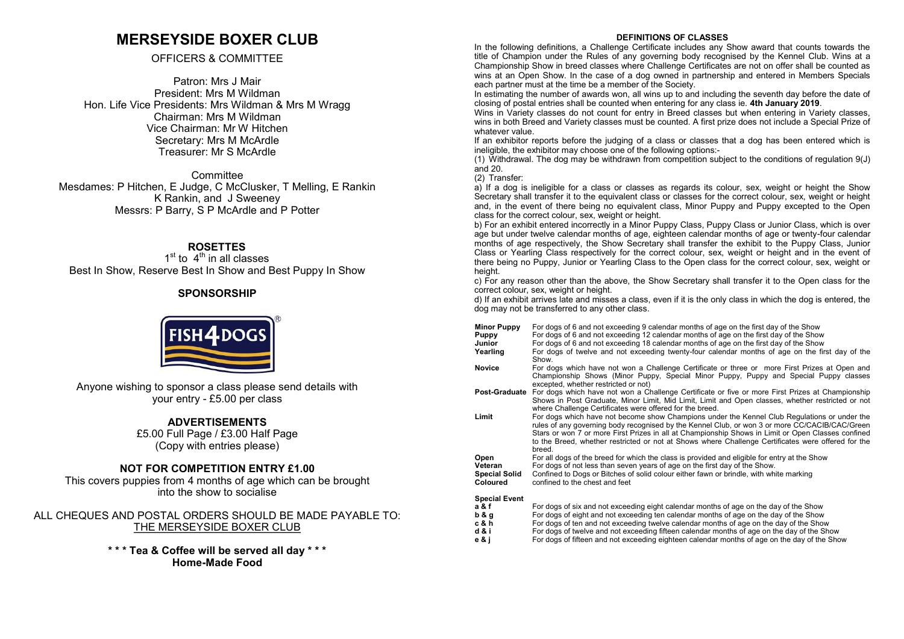### **MERSEYSIDE BOXER CLUB**

### OFFICERS & COMMITTEE

Patron: Mrs J Mair President: Mrs M Wildman Hon. Life Vice Presidents: Mrs Wildman & Mrs M Wragg Chairman: Mrs M Wildman Vice Chairman: Mr W Hitchen Secretary: Mrs M McArdle Treasurer: Mr S McArdle

**Committee** Mesdames: P Hitchen, E Judge, C McClusker, T Melling, E Rankin K Rankin, and J Sweeney Messrs: P Barry, S P McArdle and P Potter

### **ROSETTES**

 $1<sup>st</sup>$  to  $4<sup>th</sup>$  in all classes Best In Show, Reserve Best In Show and Best Puppy In Show

### **SPONSORSHIP**

Anyone wishing to sponsor a class please send details with your entry - £5.00 per class

### **ADVERTISEMENTS**

£5.00 Full Page / £3.00 Half Page (Copy with entries please)

### **NOT FOR COMPETITION ENTRY £1.00**

This covers puppies from 4 months of age which can be brought into the show to socialise

### ALL CHEQUES AND POSTAL ORDERS SHOULD BE MADE PAYABLE TO: THE MERSEYSIDE BOXER CLUB

**\* \* \* Tea & Coffee will be served all day \* \* \* Home-Made Food**

#### **DEFINITIONS OF CLASSES**

In the following definitions, a Challenge Certificate includes any Show award that counts towards the title of Champion under the Rules of any governing body recognised by the Kennel Club. Wins at a Championship Show in breed classes where Challenge Certificates are not on offer shall be counted as wins at an Open Show. In the case of a dog owned in partnership and entered in Members Specials each partner must at the time be a member of the Society.

In estimating the number of awards won, all wins up to and including the seventh day before the date of closing of postal entries shall be counted when entering for any class ie. **4th January 2019**.

Wins in Variety classes do not count for entry in Breed classes but when entering in Variety classes. wins in both Breed and Variety classes must be counted. A first prize does not include a Special Prize of whatever value.

If an exhibitor reports before the judging of a class or classes that a dog has been entered which is ineligible, the exhibitor may choose one of the following options:-

(1) Withdrawal. The dog may be withdrawn from competition subject to the conditions of regulation 9(J) and 20.

(2) Transfer:

a) If a dog is ineligible for a class or classes as regards its colour, sex, weight or height the Show Secretary shall transfer it to the equivalent class or classes for the correct colour, sex, weight or height and, in the event of there being no equivalent class, Minor Puppy and Puppy excepted to the Open class for the correct colour, sex, weight or height.

b) For an exhibit entered incorrectly in a Minor Puppy Class, Puppy Class or Junior Class, which is over age but under twelve calendar months of age, eighteen calendar months of age or twenty-four calendar months of age respectively, the Show Secretary shall transfer the exhibit to the Puppy Class, Junior Class or Yearling Class respectively for the correct colour, sex, weight or height and in the event of there being no Puppy, Junior or Yearling Class to the Open class for the correct colour, sex, weight or height.

c) For any reason other than the above, the Show Secretary shall transfer it to the Open class for the correct colour, sex, weight or height.

d) If an exhibit arrives late and misses a class, even if it is the only class in which the dog is entered, the dog may not be transferred to any other class.

- **Minor Puppy** For dogs of 6 and not exceeding 9 calendar months of age on the first day of the Show<br>**Puppy** For dogs of 6 and not exceeding 12 calendar months of age on the first day of the Show
- **Puppy** For dogs of 6 and not exceeding 12 calendar months of age on the first day of the Show<br> **Junior** For dogs of 6 and not exceeding 18 calendar months of age on the first day of the Show
- **Junior** For dogs of 6 and not exceeding 18 calendar months of age on the first day of the Show<br>**Yearling** For dogs of twelve and not exceeding twenty-four calendar months of age on the fir
- **Yearling** For dogs of twelve and not exceeding twenty-four calendar months of age on the first day of the Show.
- **Novice** For dogs which have not won a Challenge Certificate or three or more First Prizes at Open and Championship Shows (Minor Puppy, Special Minor Puppy, Puppy and Special Puppy classes excepted, whether restricted or not)
- **Post-Graduate** For dogs which have not won a Challenge Certificate or five or more First Prizes at Championship Shows in Post Graduate, Minor Limit, Mid Limit, Limit and Open classes, whether restricted or not where Challenge Certificates were offered for the breed.
- **Limit** For dogs which have not become show Champions under the Kennel Club Regulations or under the rules of any governing body recognised by the Kennel Club, or won 3 or more CC/CACIB/CAC/Green Stars or won 7 or more First Prizes in all at Championship Shows in Limit or Open Classes confined to the Breed, whether restricted or not at Shows where Challenge Certificates were offered for the breed.
- **Open** For all dogs of the breed for which the class is provided and eligible for entry at the Show<br> **Veteran** For dogs of not less than seven years of age on the first day of the Show
- **Veteran** For dogs of not less than seven years of age on the first day of the Show.<br>**Special Solid** Confined to Dogs or Bitches of solid colour either fawn or brindle, with whi

**Special Solid** Confined to Dogs or Bitches of solid colour either fawn or brindle, with white marking Coloured confined to the chest and feet

confined to the chest and feet

### **Special Event**

- **a & f** For dogs of six and not exceeding eight calendar months of age on the day of the Show<br> **b & q** For dogs of eight and not exceeding ten calendar months of age on the day of the Show
- **b & g** For dogs of eight and not exceeding ten calendar months of age on the day of the Show **c & h** For dogs of ten and not exceeding twelve calendar months of age on the day of the Show
- **c & h** For dogs of ten and not exceeding twelve calendar months of age on the day of the Show **d & i** For dogs of twelve and not exceeding fifteen calendar months of age on the day of the Sho
- **d & i** For dogs of twelve and not exceeding fifteen calendar months of age on the day of the Show<br> **e & i** For dogs of fifteen and not exceeding eighteen calendar months of age on the day of the Show
- **e & j** For dogs of fifteen and not exceeding eighteen calendar months of age on the day of the Show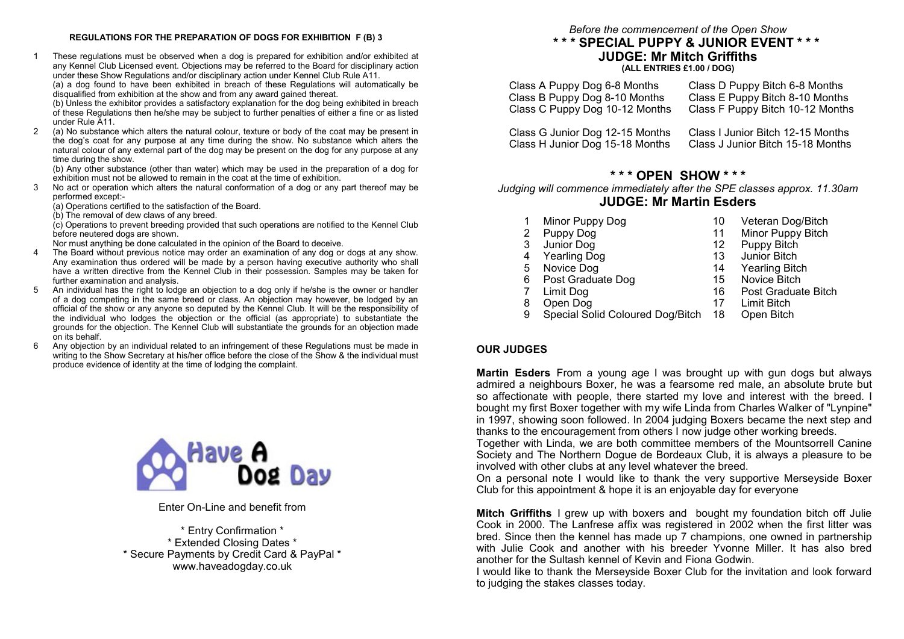#### **REGULATIONS FOR THE PREPARATION OF DOGS FOR EXHIBITION F (B) 3**

1 These regulations must be observed when a dog is prepared for exhibition and/or exhibited at any Kennel Club Licensed event. Objections may be referred to the Board for disciplinary action under these Show Regulations and/or disciplinary action under Kennel Club Rule A11.

(a) a dog found to have been exhibited in breach of these Regulations will automatically be disqualified from exhibition at the show and from any award gained thereat.

(b) Unless the exhibitor provides a satisfactory explanation for the dog being exhibited in breach of these Regulations then he/she may be subject to further penalties of either a fine or as listed under Rule A11.

2 (a) No substance which alters the natural colour, texture or body of the coat may be present in the dog's coat for any purpose at any time during the show. No substance which alters the natural colour of any external part of the dog may be present on the dog for any purpose at any time during the show.

(b) Any other substance (other than water) which may be used in the preparation of a dog for exhibition must not be allowed to remain in the coat at the time of exhibition.

3 No act or operation which alters the natural conformation of a dog or any part thereof may be performed except:-

(a) Operations certified to the satisfaction of the Board.

(b) The removal of dew claws of any breed.

(c) Operations to prevent breeding provided that such operations are notified to the Kennel Club before neutered dogs are shown.

Nor must anything be done calculated in the opinion of the Board to deceive.

- 4 The Board without previous notice may order an examination of any dog or dogs at any show. Any examination thus ordered will be made by a person having executive authority who shall have a written directive from the Kennel Club in their possession. Samples may be taken for further examination and analysis.
- 5 An individual has the right to lodge an objection to a dog only if he/she is the owner or handler of a dog competing in the same breed or class. An objection may however, be lodged by an official of the show or any anyone so deputed by the Kennel Club. It will be the responsibility of the individual who lodges the objection or the official (as appropriate) to substantiate the grounds for the objection. The Kennel Club will substantiate the grounds for an objection made on its behalf.
- 6 Any objection by an individual related to an infringement of these Regulations must be made in writing to the Show Secretary at his/her office before the close of the Show & the individual must produce evidence of identity at the time of lodging the complaint.



Enter On-Line and benefit from

\* Entry Confirmation \* \* Extended Closing Dates \* \* Secure Payments by Credit Card & PayPal \* www.haveadogday.co.uk

*Before the commencement of the Open Show*

### **\* \* \* SPECIAL PUPPY & JUNIOR EVENT \* \* \* JUDGE: Mr Mitch Griffiths (ALL ENTRIES £1.00 / DOG)**

| Class A Puppy Dog 6-8 Months   | Class D Puppy Bitch 6-8 Months   |
|--------------------------------|----------------------------------|
| Class B Puppy Dog 8-10 Months  | Class E Puppy Bitch 8-10 Months  |
| Class C Puppy Dog 10-12 Months | Class F Puppy Bitch 10-12 Months |

Class G Junior Dog 12-15 Months Class I Junior Bitch 12-15 Months Class H Junior Dog 15-18 Months Class J Junior Bitch 15-18 Months

### **\* \* \* OPEN SHOW \* \* \***

*Judging will commence immediately after the SPE classes approx. 11.30am*  **JUDGE: Mr Martin Esders**

- 1 Minor Puppy Dog 10 Veteran Dog/Bitch<br>2 Puppy Dog 11 Minor Puppy Bitch
- 2 Puppy Dog 11 Minor Puppy Bitch<br>3 Junior Dog 12 Puppy Bitch
- 3 Junior Dog 12 Puppy Bitch
- 4 Yearling Dog 13 Junior Bitch<br>5 Novice Dog 14 Yearling Bitch
- 5 Novice Dog 14 Yearling Bitch<br>6 Post Graduate Dog 15 Novice Bitch
- 6 Post Graduate Dog 15 Novice Bitch<br>7 Limit Dog 16 Post Graduat
- 
- 
- 8 Open Dog 17 Limit Bitch<br>9 Special Solid Coloured Dog/Bitch 18 Open Bitch Special Solid Coloured Dog/Bitch 18 Open Bitch

### **OUR JUDGES**

**Martin Esders** From a young age I was brought up with gun dogs but always admired a neighbours Boxer, he was a fearsome red male, an absolute brute but so affectionate with people, there started my love and interest with the breed. I bought my first Boxer together with my wife Linda from Charles Walker of "Lynpine" in 1997, showing soon followed. In 2004 judging Boxers became the next step and thanks to the encouragement from others I now judge other working breeds.

Together with Linda, we are both committee members of the Mountsorrell Canine Society and The Northern Dogue de Bordeaux Club, it is always a pleasure to be involved with other clubs at any level whatever the breed.

On a personal note I would like to thank the very supportive Merseyside Boxer Club for this appointment & hope it is an enjoyable day for everyone

**Mitch Griffiths** I grew up with boxers and bought my foundation bitch off Julie Cook in 2000. The Lanfrese affix was registered in 2002 when the first litter was bred. Since then the kennel has made up 7 champions, one owned in partnership with Julie Cook and another with his breeder Yvonne Miller. It has also bred another for the Sultash kennel of Kevin and Fiona Godwin.

I would like to thank the Merseyside Boxer Club for the invitation and look forward to judging the stakes classes today.

7 Limit Dog 16 Post Graduate Bitch<br>8 Open Dog 17 Limit Bitch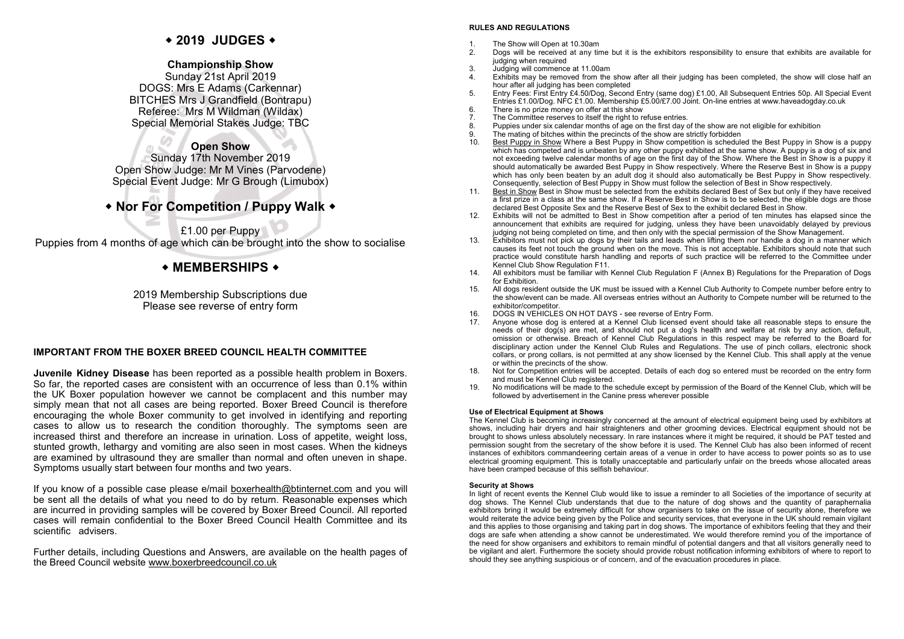### **2019 JUDGES**

### **Championship Show**

Sunday 21st April 2019 DOGS: Mrs E Adams (Carkennar) BITCHES Mrs J Grandfield (Bontrapu) Referee: Mrs M Wildman (Wildax) Special Memorial Stakes Judge: TBC

### **Open Show**

Sunday 17th November 2019 Open Show Judge: Mr M Vines (Parvodene) Special Event Judge: Mr G Brough (Limubox)

### **Nor For Competition / Puppy Walk**

£1.00 per Puppy Puppies from 4 months of age which can be brought into the show to socialise

### l ◆ MEMBERSHIPS ◆

2019 Membership Subscriptions due Please see reverse of entry form

### **IMPORTANT FROM THE BOXER BREED COUNCIL HEALTH COMMITTEE**

**Juvenile Kidney Disease** has been reported as a possible health problem in Boxers. So far, the reported cases are consistent with an occurrence of less than 0.1% within the UK Boxer population however we cannot be complacent and this number may simply mean that not all cases are being reported. Boxer Breed Council is therefore encouraging the whole Boxer community to get involved in identifying and reporting cases to allow us to research the condition thoroughly. The symptoms seen are increased thirst and therefore an increase in urination. Loss of appetite, weight loss, stunted growth, lethargy and vomiting are also seen in most cases. When the kidneys are examined by ultrasound they are smaller than normal and often uneven in shape. Symptoms usually start between four months and two years.

If you know of a possible case please e/mail [boxerhealth@btinternet.com](mailto:boxerhealth@btinternet.com) and you will be sent all the details of what you need to do by return. Reasonable expenses which are incurred in providing samples will be covered by Boxer Breed Council. All reported cases will remain confidential to the Boxer Breed Council Health Committee and its scientific advisers.

Further details, including Questions and Answers, are available on the health pages of the Breed Council website [www.boxerbreedcouncil.co.uk](http://www.boxerbreedcouncil.co.uk/)

### **RULES AND REGULATIONS**

- 1. The Show will Open at 10.30am<br>2. Dogs will be received at any firm
- 2. Dogs will be received at any time but it is the exhibitors responsibility to ensure that exhibits are available for judging when required
- 3. Judging will commence at 11.00am<br>4. Exhibits may be removed from the
- 4. Exhibits may be removed from the show after all their judging has been completed, the show will close half an hour after all judging has been completed
- 5. Entry Fees: First Entry £4.50/Dog, Second Entry (same dog) £1.00, All Subsequent Entries 50p. All Special Event Entries £1.00/Dog. NFC £1.00. Membership £5.00/£7.00 Joint. On-line entries at www.haveadogday.co.uk
- 6. There is no prize money on offer at this show<br>7. The Committee reserves to itself the right to re
- 7. The Committee reserves to itself the right to refuse entries.<br>8. Puppies under six calendar months of age on the first day of
- Puppies under six calendar months of age on the first day of the show are not eligible for exhibition
- 9. The mating of bitches within the precincts of the show are strictly forbidden<br>10. Best Punny in Show Where a Best Punny in Show competition is schedule
- 10. Best Puppy in Show Where a Best Puppy in Show competition is scheduled the Best Puppy in Show is a puppy which has competed and is unbeaten by any other puppy exhibited at the same show. A puppy is a dog of six and not exceeding twelve calendar months of age on the first day of the Show. Where the Best in Show is a puppy it should automatically be awarded Best Puppy in Show respectively. Where the Reserve Best in Show is a puppy which has only been beaten by an adult dog it should also automatically be Best Puppy in Show respectively. Consequently, selection of Best Puppy in Show must follow the selection of Best in Show respectively.
- 11. Best in Show Best in Show must be selected from the exhibits declared Best of Sex but only if they have received a first prize in a class at the same show. If a Reserve Best in Show is to be selected, the eligible dogs are those declared Best Opposite Sex and the Reserve Best of Sex to the exhibit declared Best in Show.
- 12. Exhibits will not be admitted to Best in Show competition after a period of ten minutes has elapsed since the announcement that exhibits are required for judging, unless they have been unavoidably delayed by previous judging not being completed on time, and then only with the special permission of the Show Management.
- 13. Exhibitors must not pick up dogs by their tails and leads when lifting them nor handle a dog in a manner which causes its feet not touch the ground when on the move. This is not acceptable. Exhibitors should note that such practice would constitute harsh handling and reports of such practice will be referred to the Committee under Kennel Club Show Regulation F11.
- 14. All exhibitors must be familiar with Kennel Club Regulation F (Annex B) Regulations for the Preparation of Dogs for Exhibition.
- 15. All dogs resident outside the UK must be issued with a Kennel Club Authority to Compete number before entry to the show/event can be made. All overseas entries without an Authority to Compete number will be returned to the exhibitor/competitor.
- 16. DOGS IN VEHICLES ON HOT DAYS see reverse of Entry Form.
- 17. Anyone whose dog is entered at a Kennel Club licensed event should take all reasonable steps to ensure the needs of their dog(s) are met, and should not put a dog's health and welfare at risk by any action, default, omission or otherwise. Breach of Kennel Club Regulations in this respect may be referred to the Board for disciplinary action under the Kennel Club Rules and Regulations. The use of pinch collars, electronic shock collars, or prong collars, is not permitted at any show licensed by the Kennel Club. This shall apply at the venue or within the precincts of the show.
- 18. Not for Competition entries will be accepted. Details of each dog so entered must be recorded on the entry form and must be Kennel Club registered.
- 19. No modifications will be made to the schedule except by permission of the Board of the Kennel Club, which will be followed by advertisement in the Canine press wherever possible

#### **Use of Electrical Equipment at Shows**

The Kennel Club is becoming increasingly concerned at the amount of electrical equipment being used by exhibitors at shows, including hair dryers and hair straighteners and other grooming devices. Electrical equipment should not be brought to shows unless absolutely necessary. In rare instances where it might be required, it should be PAT tested and permission sought from the secretary of the show before it is used. The Kennel Club has also been informed of recent instances of exhibitors commandeering certain areas of a venue in order to have access to power points so as to use electrical grooming equipment. This is totally unacceptable and particularly unfair on the breeds whose allocated areas have been cramped because of this selfish behaviour.

#### **Security at Shows**

In light of recent events the Kennel Club would like to issue a reminder to all Societies of the importance of security at dog shows. The Kennel Club understands that due to the nature of dog shows and the quantity of paraphernalia exhibitors bring it would be extremely difficult for show organisers to take on the issue of security alone, therefore we would reiterate the advice being given by the Police and security services, that everyone in the UK should remain vigilant and this applies to those organising and taking part in dog shows. The importance of exhibitors feeling that they and their dogs are safe when attending a show cannot be underestimated. We would therefore remind you of the importance of the need for show organisers and exhibitors to remain mindful of potential dangers and that all visitors generally need to be vigilant and alert. Furthermore the society should provide robust notification informing exhibitors of where to report to should they see anything suspicious or of concern, and of the evacuation procedures in place.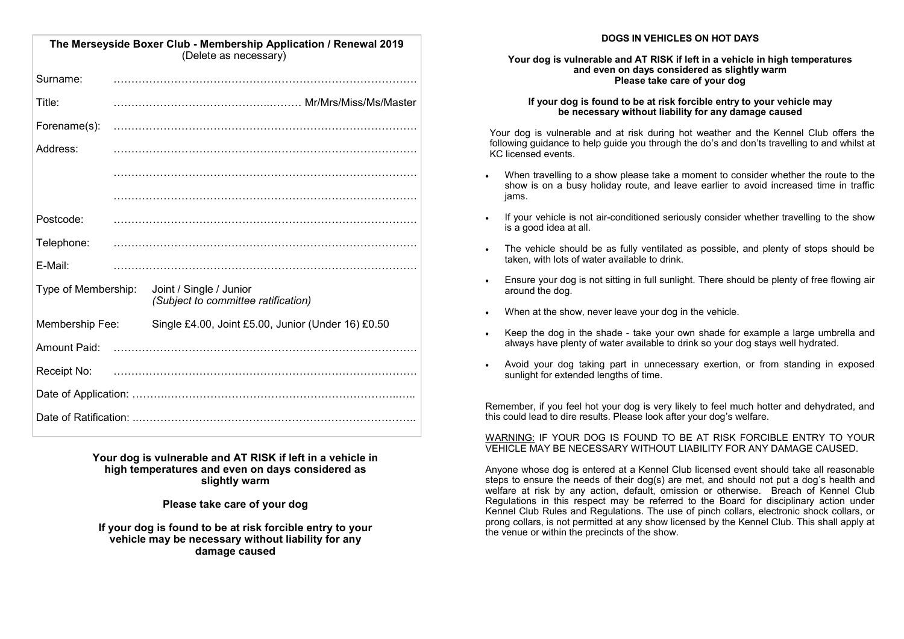| The Merseyside Boxer Club - Membership Application / Renewal 2019<br>(Delete as necessary) |                                                                |  |  |  |  |
|--------------------------------------------------------------------------------------------|----------------------------------------------------------------|--|--|--|--|
| Surname:                                                                                   |                                                                |  |  |  |  |
| Title:                                                                                     |                                                                |  |  |  |  |
| Forename(s):                                                                               |                                                                |  |  |  |  |
| Address:                                                                                   |                                                                |  |  |  |  |
|                                                                                            |                                                                |  |  |  |  |
|                                                                                            |                                                                |  |  |  |  |
| Postcode:                                                                                  |                                                                |  |  |  |  |
| Telephone:                                                                                 |                                                                |  |  |  |  |
| E-Mail:                                                                                    |                                                                |  |  |  |  |
| Type of Membership:                                                                        | Joint / Single / Junior<br>(Subject to committee ratification) |  |  |  |  |
| Membership Fee:                                                                            | Single £4.00, Joint £5.00, Junior (Under 16) £0.50             |  |  |  |  |
| <b>Amount Paid:</b>                                                                        |                                                                |  |  |  |  |
| Receipt No:                                                                                |                                                                |  |  |  |  |
|                                                                                            |                                                                |  |  |  |  |
|                                                                                            |                                                                |  |  |  |  |

**Your dog is vulnerable and AT RISK if left in a vehicle in high temperatures and even on days considered as slightly warm**

**Please take care of your dog**

**If your dog is found to be at risk forcible entry to your vehicle may be necessary without liability for any damage caused**

### **DOGS IN VEHICLES ON HOT DAYS**

### **Your dog is vulnerable and AT RISK if left in a vehicle in high temperatures and even on days considered as slightly warm Please take care of your dog**

### **If your dog is found to be at risk forcible entry to your vehicle may be necessary without liability for any damage caused**

Your dog is vulnerable and at risk during hot weather and the Kennel Club offers the following guidance to help guide you through the do's and don'ts travelling to and whilst at KC licensed events.

- When travelling to a show please take a moment to consider whether the route to the show is on a busy holiday route, and leave earlier to avoid increased time in traffic jams.
- If your vehicle is not air-conditioned seriously consider whether travelling to the show is a good idea at all.
- The vehicle should be as fully ventilated as possible, and plenty of stops should be taken, with lots of water available to drink.
- Ensure your dog is not sitting in full sunlight. There should be plenty of free flowing air around the dog.
- When at the show, never leave your dog in the vehicle.
- Keep the dog in the shade take your own shade for example a large umbrella and always have plenty of water available to drink so your dog stays well hydrated.
- Avoid your dog taking part in unnecessary exertion, or from standing in exposed sunlight for extended lengths of time.

Remember, if you feel hot your dog is very likely to feel much hotter and dehydrated, and this could lead to dire results. Please look after your dog's welfare.

WARNING: IF YOUR DOG IS FOUND TO BE AT RISK FORCIBLE ENTRY TO YOUR VEHICLE MAY BE NECESSARY WITHOUT LIABILITY FOR ANY DAMAGE CAUSED.

Anyone whose dog is entered at a Kennel Club licensed event should take all reasonable steps to ensure the needs of their dog(s) are met, and should not put a dog's health and welfare at risk by any action, default, omission or otherwise. Breach of Kennel Club Regulations in this respect may be referred to the Board for disciplinary action under Kennel Club Rules and Regulations. The use of pinch collars, electronic shock collars, or prong collars, is not permitted at any show licensed by the Kennel Club. This shall apply at the venue or within the precincts of the show.